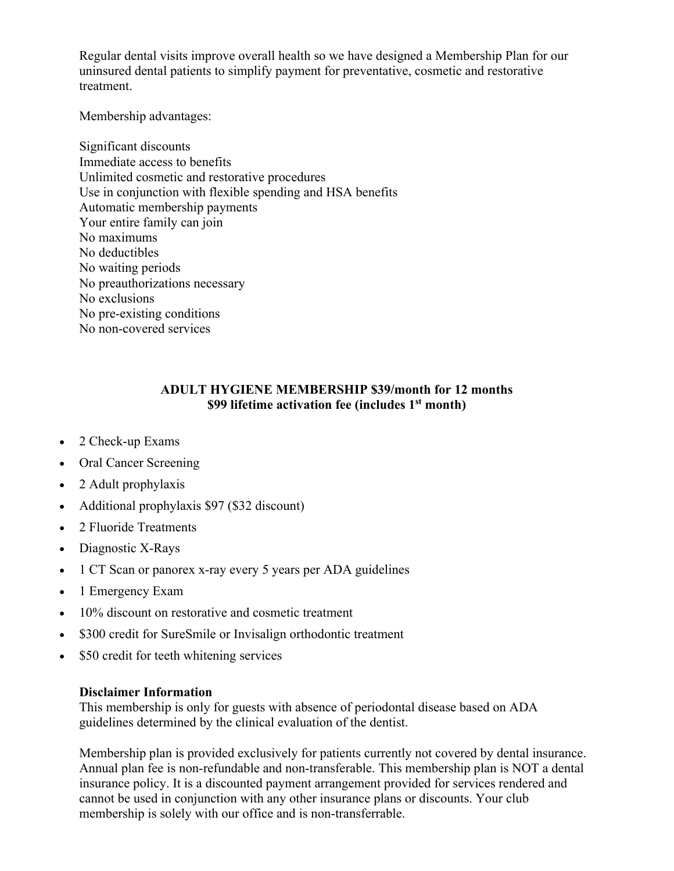Regular dental visits improve overall health so we have designed a Membership Plan for our uninsured dental patients to simplify payment for preventative, cosmetic and restorative treatment.

Membership advantages:

Significant discounts Immediate access to benefits Unlimited cosmetic and restorative procedures Use in conjunction with flexible spending and HSA benefits Automatic membership payments Your entire family can join No maximums No deductibles No waiting periods No preauthorizations necessary No exclusions No pre-existing conditions No non-covered services

### **ADULT HYGIENE MEMBERSHIP \$39/month for 12 months \$99 lifetime activation fee (includes 1st month)**

- 2 Check-up Exams
- Oral Cancer Screening
- 2 Adult prophylaxis
- Additional prophylaxis \$97 (\$32 discount)
- 2 Fluoride Treatments
- Diagnostic X-Rays
- 1 CT Scan or panorex x-ray every 5 years per ADA guidelines
- 1 Emergency Exam
- 10% discount on restorative and cosmetic treatment
- \$300 credit for SureSmile or Invisalign orthodontic treatment
- \$50 credit for teeth whitening services

#### **Disclaimer Information**

This membership is only for guests with absence of periodontal disease based on ADA guidelines determined by the clinical evaluation of the dentist.

Membership plan is provided exclusively for patients currently not covered by dental insurance. Annual plan fee is non-refundable and non-transferable. This membership plan is NOT a dental insurance policy. It is a discounted payment arrangement provided for services rendered and cannot be used in conjunction with any other insurance plans or discounts. Your club membership is solely with our office and is non-transferrable.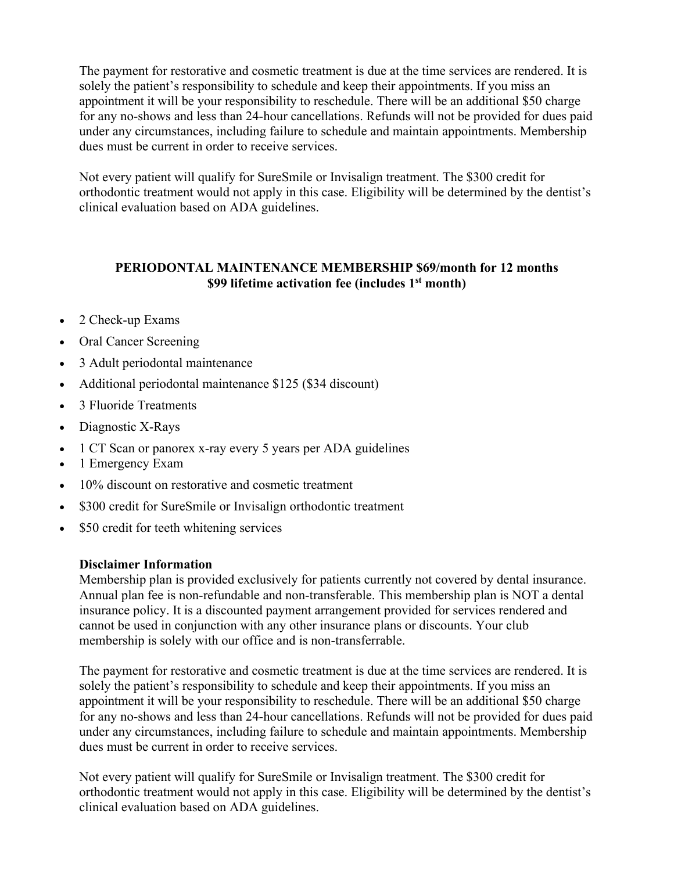The payment for restorative and cosmetic treatment is due at the time services are rendered. It is solely the patient's responsibility to schedule and keep their appointments. If you miss an appointment it will be your responsibility to reschedule. There will be an additional \$50 charge for any no-shows and less than 24-hour cancellations. Refunds will not be provided for dues paid under any circumstances, including failure to schedule and maintain appointments. Membership dues must be current in order to receive services.

Not every patient will qualify for SureSmile or Invisalign treatment. The \$300 credit for orthodontic treatment would not apply in this case. Eligibility will be determined by the dentist's clinical evaluation based on ADA guidelines.

# **PERIODONTAL MAINTENANCE MEMBERSHIP \$69/month for 12 months \$99 lifetime activation fee (includes 1st month)**

- 2 Check-up Exams
- Oral Cancer Screening
- 3 Adult periodontal maintenance
- Additional periodontal maintenance \$125 (\$34 discount)
- 3 Fluoride Treatments
- Diagnostic X-Rays
- 1 CT Scan or panorex x-ray every 5 years per ADA guidelines
- 1 Emergency Exam
- 10% discount on restorative and cosmetic treatment
- \$300 credit for SureSmile or Invisalign orthodontic treatment
- \$50 credit for teeth whitening services

#### **Disclaimer Information**

Membership plan is provided exclusively for patients currently not covered by dental insurance. Annual plan fee is non-refundable and non-transferable. This membership plan is NOT a dental insurance policy. It is a discounted payment arrangement provided for services rendered and cannot be used in conjunction with any other insurance plans or discounts. Your club membership is solely with our office and is non-transferrable.

The payment for restorative and cosmetic treatment is due at the time services are rendered. It is solely the patient's responsibility to schedule and keep their appointments. If you miss an appointment it will be your responsibility to reschedule. There will be an additional \$50 charge for any no-shows and less than 24-hour cancellations. Refunds will not be provided for dues paid under any circumstances, including failure to schedule and maintain appointments. Membership dues must be current in order to receive services.

Not every patient will qualify for SureSmile or Invisalign treatment. The \$300 credit for orthodontic treatment would not apply in this case. Eligibility will be determined by the dentist's clinical evaluation based on ADA guidelines.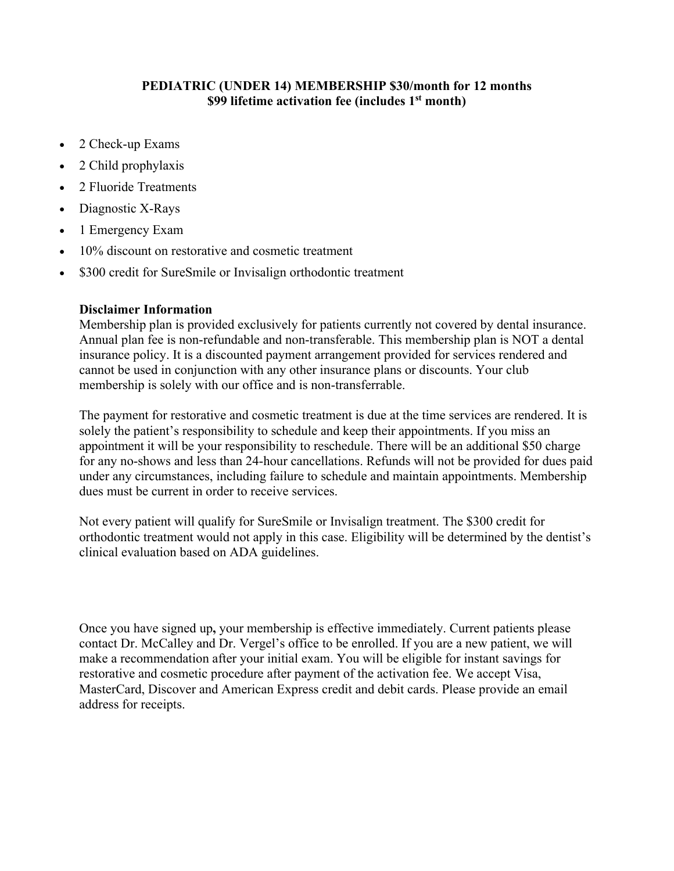## **PEDIATRIC (UNDER 14) MEMBERSHIP \$30/month for 12 months \$99 lifetime activation fee (includes 1st month)**

- 2 Check-up Exams
- 2 Child prophylaxis
- 2 Fluoride Treatments
- Diagnostic X-Rays
- 1 Emergency Exam
- 10% discount on restorative and cosmetic treatment
- \$300 credit for SureSmile or Invisalign orthodontic treatment

#### **Disclaimer Information**

Membership plan is provided exclusively for patients currently not covered by dental insurance. Annual plan fee is non-refundable and non-transferable. This membership plan is NOT a dental insurance policy. It is a discounted payment arrangement provided for services rendered and cannot be used in conjunction with any other insurance plans or discounts. Your club membership is solely with our office and is non-transferrable.

The payment for restorative and cosmetic treatment is due at the time services are rendered. It is solely the patient's responsibility to schedule and keep their appointments. If you miss an appointment it will be your responsibility to reschedule. There will be an additional \$50 charge for any no-shows and less than 24-hour cancellations. Refunds will not be provided for dues paid under any circumstances, including failure to schedule and maintain appointments. Membership dues must be current in order to receive services.

Not every patient will qualify for SureSmile or Invisalign treatment. The \$300 credit for orthodontic treatment would not apply in this case. Eligibility will be determined by the dentist's clinical evaluation based on ADA guidelines.

Once you have signed up**,** your membership is effective immediately. Current patients please contact Dr. McCalley and Dr. Vergel's office to be enrolled. If you are a new patient, we will make a recommendation after your initial exam. You will be eligible for instant savings for restorative and cosmetic procedure after payment of the activation fee. We accept Visa, MasterCard, Discover and American Express credit and debit cards. Please provide an email address for receipts.